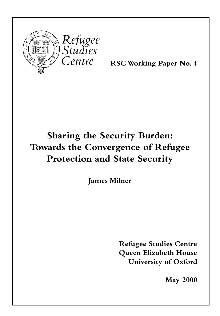

RSC Working Paper No. 4

# Sharing the Security Burden: Towards the Convergence of Refugee Protection and State Security

James Milner

Refugee Studies Centre Queen Elizabeth House University of Oxford

May 2000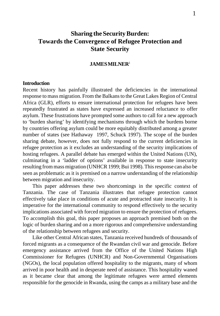# **Sharing the Security Burden: Towards the Convergence of Refugee Protection and State Security**

# **JAMES MILNER**<sup>1</sup>

#### **Introduction**

Recent history has painfully illustrated the deficiencies in the international response to mass migration. From the Balkans to the Great Lakes Region of Central Africa (GLR), efforts to ensure international protection for refugees have been repeatedly frustrated as states have expressed an increased reluctance to offer asylum. These frustrations have prompted some authors to call for a new approach to 'burden sharing' by identifying mechanisms through which the burdens borne by countries offering asylum could be more equitably distributed among a greater number of states (see Hathaway 1997, Schuck 1997). The scope of the burden sharing debate, however, does not fully respond to the current deficiencies in refugee protection as it excludes an understanding of the security implications of hosting refugees. A parallel debate has emerged within the United Nations (UN), culminating in a 'ladder of options' available in response to state insecurity resulting from mass migration (UNHCR 1999; Bui 1998). This response can also be seen as problematic as it is premised on a narrow understanding of the relationship between migration and insecurity.

This paper addresses these two shortcomings in the specific context of Tanzania. The case of Tanzania illustrates that refugee protection cannot effectively take place in conditions of acute and protracted state insecurity. It is imperative for the international community to respond effectively to the security implications associated with forced migration to ensure the protection of refugees. To accomplish this goal, this paper proposes an approach premised both on the logic of burden sharing and on a more rigorous and comprehensive understanding of the relationship between refugees and security.

Like other Central African states, Tanzania received hundreds of thousands of forced migrants as a consequence of the Rwandan civil war and genocide. Before emergency assistance arrived from the Office of the United Nations High Commissioner for Refugees (UNHCR) and Non-Governmental Organisations (NGOs), the local population offered hospitality to the migrants, many of whom arrived in poor health and in desperate need of assistance. This hospitality waned as it became clear that among the legitimate refugees were armed elements responsible for the genocide in Rwanda, using the camps as a military base and the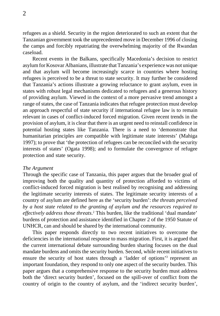2

refugees as a shield. Security in the region deteriorated to such an extent that the Tanzanian government took the unprecedented move in December 1996 of closing the camps and forcibly repatriating the overwhelming majority of the Rwandan caseload.

Recent events in the Balkans, specifically Macedonia's decision to restrict asylum for Kosovar Albanians, illustrate that Tanzania's experience was not unique and that asylum will become increasingly scarce in countries where hosting refugees is perceived to be a threat to state security. It may further be considered that Tanzania's actions illustrate a growing reluctance to grant asylum, even in states with robust legal mechanisms dedicated to refugees and a generous history of providing asylum. Viewed in the context of a more pervasive trend amongst a range of states, the case of Tanzania indicates that refugee protection must develop an approach respectful of state security if international refugee law is to remain relevant in cases of conflict-induced forced migration. Given recent trends in the provision of asylum, it is clear that there is an urgent need to reinstall confidence in potential hosting states like Tanzania. There is a need to 'demonstrate that humanitarian principles are compatible with legitimate state interests' (Mahiga 1997); to prove that 'the protection of refugees can be reconciled with the security interests of states' (Ogata 1998); and to formulate the convergence of refugee protection and state security.

#### *The Argument*

Through the specific case of Tanzania, this paper argues that the broader goal of improving both the quality and quantity of protection afforded to victims of conflict-induced forced migration is best realised by recognising and addressing the legitimate security interests of states. The legitimate security interests of a country of asylum are defined here as the 'security burden': *the threats perceived by a host state related to the granting of asylum and the resources required to effectively address those threats*. 2 This burden, like the traditional 'dual mandate' burdens of protection and assistance identified in Chapter 2 of the 1950 Statute of UNHCR, can and should be shared by the international community.

This paper responds directly to two recent initiatives to overcome the deficiencies in the international response to mass migration. First, it is argued that the current international debate surrounding burden sharing focuses on the dual mandate burdens and omits the security burden. Second, while recent initiatives to ensure the security of host states through a 'ladder of options'<sup>3</sup> represent an important foundation, they respond to only one aspect of the security burden. This paper argues that a comprehensive response to the security burden must address both the 'direct security burden', focused on the spill-over of conflict from the country of origin to the country of asylum, and the 'indirect security burden',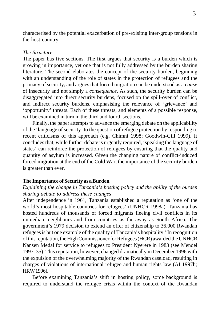characterised by the potential exacerbation of pre-exisitng inter-group tensions in the host country.

# *The Structure*

The paper has five sections. The first argues that security is a burden which is growing in importance, yet one that is not fully addressed by the burden sharing literature. The second elaborates the concept of the security burden, beginning with an understanding of the role of states in the protection of refugees and the primacy of security, and argues that forced migration can be understood as a *cause* of insecurity and not simply a *consequence*. As such, the security burden can be disaggregated into direct security burdens, focused on the spill-over of conflict, and indirect security burdens, emphasising the relevance of 'grievance' and 'opportunity' threats. Each of these threats, and elements of a possible response, will be examined in turn in the third and fourth sections.

Finally, the paper attempts to advance the emerging debate on the applicability of the 'language of security' to the question of refugee protection by responding to recent criticisms of this approach (e.g. Chimni 1998; Goodwin-Gill 1999). It concludes that, while further debate is urgently required, 'speaking the language of states' can reinforce the protection of refugees by ensuring that the quality and quantity of asylum is increased. Given the changing nature of conflict-induced forced migration at the end of the Cold War, the importance of the security burden is greater than ever.

#### **The Importance of Security as a Burden**

# *Explaining the change in Tanzania's hosting policy and the ability of the burden sharing debate to address these changes*

After independence in 1961, Tanzania established a reputation as 'one of the world's most hospitable countries for refugees' (UNHCR 1998a). Tanzania has hosted hundreds of thousands of forced migrants fleeing civil conflicts in its immediate neighbours and from countries as far away as South Africa. The government's 1979 decision to extend an offer of citizenship to 36,000 Rwandan refugees is but one example of the quality of Tanzania's hospitality.<sup>4</sup> In recognition of this reputation, the High Commissioner for Refugees (HCR) awarded the UNHCR Nansen Medal for service to refugees to President Nyerere in 1983 (see Mendel 1997: 35). This reputation, however, changed dramatically in December 1996 with the expulsion of the overwhelming majority of the Rwandan caseload, resulting in charges of violations of international refugee and human rights law (AI 1997b; HRW 1996).

Before examining Tanzania's shift in hosting policy, some background is required to understand the refugee crisis within the context of the Rwandan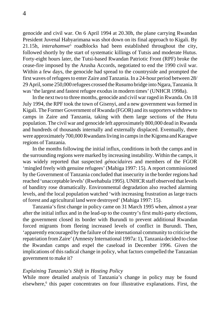genocide and civil war. On 6 April 1994 at 20.30h, the plane carrying Rwandan President Juvenal Habyarimana was shot down on its final approach to Kigali. By 21.15h, *interahamwe*<sup>5</sup> roadblocks had been established throughout the city, followed shortly by the start of systematic killings of Tutsis and moderate Hutus. Forty-eight hours later, the Tutsi-based Rwandan Patriotic Front (RPF) broke the cease-fire imposed by the Arusha Accords, negotiated to end the 1990 civil war. Within a few days, the genocide had spread to the countryside and prompted the first waves of refugees to enter Zaire and Tanzania. In a 24-hour period between 28/ 29 April, some 250,000 refugees crossed the Rusumo bridge into Ngara, Tanzania. It was 'the largest and fastest refugee exodus in modern times' (UNHCR 1998a).

In the next two to three months, genocide and civil war raged in Rwanda. On 18 July 1994, the RPF took the town of Gisenyi, and a new government was formed in Kigali. The Former Government of Rwanda (FGOR) and its supporters withdrew to camps in Zaire and Tanzania, taking with them large sections of the Hutu population. The civil war and genocide left approximately 800,000 dead in Rwanda and hundreds of thousands internally and externally displaced. Eventually, there were approximately 700,000 Rwandans living in camps in the Kigoma and Karagwe regions of Tanzania.

In the months following the initial influx, conditions in both the camps and in the surrounding regions were marked by increasing instability. Within the camps, it was widely reported that suspected *génocidaires* and members of the FGOR 'mingled freely with genuine refugees' (Mahiga 1997: 15). A report commissioned by the Government of Tanzania concluded that insecurity in the border regions had reached 'unacceptable levels' (Rwehabula 1995). UNHCR staff observed that levels of banditry rose dramatically. Environmental degradation also reached alarming levels, and the local population watched 'with increasing frustration as large tracts of forest and agricultural land were destroyed' (Mahiga 1997: 15).

Tanzania's first change in policy came on 31 March 1995 when, almost a year after the initial influx and in the lead-up to the country's first multi-party elections, the government closed its border with Burundi to prevent additional Rwandan forced migrants from fleeing increased levels of conflict in Burundi. Then, 'apparently encouraged by the failure of the international community to criticise the repatriation from Zaire' (Amnesty International 1997a: 1), Tanzania decided to close the Rwandan camps and expel the caseload in December 1996. Given the implications of this radical change in policy, what factors compelled the Tanzanian government to make it?

#### *Explaining Tanzania's Shift in Hosting Policy*

While more detailed analysis of Tanzania's change in policy may be found elsewhere,<sup>6</sup> this paper concentrates on four illustrative explanations. First, the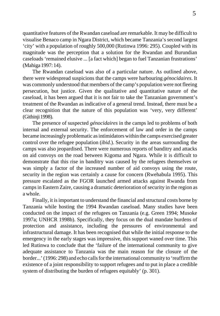quantitative features of the Rwandan caseload are remarkable. It may be difficult to visualise Benaco camp in Ngara District, which became Tanzania's second largest 'city' with a population of roughly 500,000 (Rutinwa 1996: 295). Coupled with its magnitude was the perception that a solution for the Rwandan and Burundian caseloads 'remained elusive ... [a fact which] began to fuel Tanzanian frustrations' (Mahiga 1997: 14).

The Rwandan caseload was also of a particular nature. As outlined above, there were widespread suspicions that the camps were harbouring *génocidaires*. It was commonly understood that members of the camp's population were not fleeing persecution, but justice. Given the qualitative and quantitative nature of the caseload, it has been argued that it is not fair to take the Tanzanian government's treatment of the Rwandan as indicative of a general trend. Instead, there must be a clear recognition that the nature of this population was 'very, very different' (Githinji 1998).

The presence of suspected *génocidaires* in the camps led to problems of both internal and external security. The enforcement of law and order in the camps became increasingly problematic as intimidators within the camps exercised greater control over the refugee population (*ibid*.). Security in the areas surrounding the camps was also jeopardised. There were numerous reports of banditry and attacks on aid convoys on the road between Kigoma and Ngara. While it is difficult to demonstrate that this rise in banditry was caused by the refugees themselves or was simply a factor of the increased number of aid convoys using the route, security in the region was certainly a cause for concern (Rwehabula 1995). This pressure escalated as the FGOR launched armed attacks against Rwanda from camps in Eastern Zaire, causing a dramatic deterioration of security in the region as a whole.

Finally, it is important to understand the financial and structural costs borne by Tanzania while hosting the 1994 Rwandan caseload. Many studies have been conducted on the impact of the refugees on Tanzania (e.g. Green 1994; Musoke 1997a; UNHCR 1998b). Specifically, they focus on the dual mandate burdens of protection and assistance, including the pressures of environmental and infrastructural damage. It has been recognised that while the initial response to the emergency in the early stages was impressive, this support waned over time. This led Rutinwa to conclude that the 'failure of the international community to give adequate assistance to Tanzania was the main reason for the closure of the border...' (1996: 298) and echo calls for the international community to 'reaffirm the existence of a joint responsibility to support refugees and to put in place a credible system of distributing the burden of refugees equitably' (p. 301).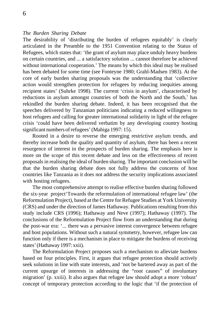#### *The Burden Sharing Debate*

The desirability of 'distributing the burden of refugees equitably' is clearly articulated in the Preamble to the 1951 Convention relating to the Status of Refugees, which states that: 'the grant of asylum may place unduly heavy burdens on certain countries, and ... a satisfactory solution ... cannot therefore be achieved without international cooperation.' The means by which this ideal may be realised has been debated for some time (see Fonteyne 1980; Grahl-Madsen 1983). At the core of early burden sharing proposals was the understanding that 'collective action would strengthen protection for refugees by reducing inequities among recipient states' (Suhrke 1998). The current 'crisis in asylum', characterised by reductions in asylum amongst countries of both the North and the South,<sup>7</sup> has rekindled the burden sharing debate. Indeed, it has been recognised that the speeches delivered by Tanzanian politicians indicating a reduced willingness to host refugees and calling for greater international solidarity in light of the refugee crisis 'could have been delivered verbatim by any developing country hosting significant numbers of refugees' (Mahiga 1997: 15).

Rooted in a desire to reverse the emerging restrictive asylum trends, and thereby increase both the quality and quantity of asylum, there has been a recent resurgence of interest in the prospects of burden sharing. The emphasis here is more on the scope of this recent debate and less on the effectiveness of recent proposals in realising the ideal of burden sharing. The important conclusion will be that the burden sharing debate does not fully address the concerns of host countries like Tanzania as it does not address the security implications associated with hosting refugees.

The most comprehensive attempt to realise effective burden sharing followed the six-year project'Towards the reformulation of international refugee law' (the Reformulation Project), based at the Centre for Refugee Studies at York University (CRS) and under the direction of James Hathaway. Publications resulting from this study include CRS (1996); Hathaway and Neve (1997); Hathaway (1997). The conclusions of the Reformulation Project flow from an understanding that during the post-war era: '... there was a pervasive interest convergence between refugee and host populations. Without such a natural symmetry, however, refugee law can function only if there is a mechanism in place to mitigate the burdens of receiving states' (Hathaway 1997: xxii).

The Reformulation Project proposes such a mechanism to alleviate burdens based on four principles. First, it argues that refugee protection should actively seek solutions in line with state interests, and 'not be bartered away as part of the current upsurge of interests in addressing the "root causes" of involuntary migration' (p. xxiii). It also argues that refugee law should adopt a more 'robust' concept of temporary protection according to the logic that 'if the protection of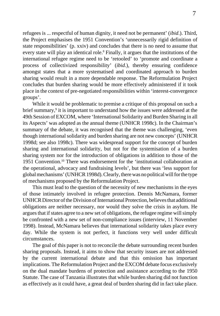refugees is ... respectful of human dignity, it need not be permanent' (*ibid*.). Third, the Project emphasises the 1951 Convention's 'unnecessarily rigid definition of state responsibilities' (p. xxiv) and concludes that there is no need to assume that every state will play an identical role.<sup>8</sup> Finally, it argues that the institutions of the international refugee regime need to be 'retooled' to 'promote and coordinate a process of collectivized responsibility' (*ibid*.), thereby ensuring confidence amongst states that a more systematised and coordinated approach to burden sharing would result in a more dependable response. The Reformulation Project concludes that burden sharing would be more effectively administered if it took place in the context of pre-negotiated responsibilities within 'interest-convergence groups'.

While it would be problematic to premise a critique of this proposal on such a brief summary,<sup>9</sup> it is important to understand how the issues were addressed at the 49th Session of EXCOM, where 'International Solidarity and Burden Sharing in all its Aspects' was adopted as the annual theme (UNHCR 1998c). In the Chairman's summary of the debate, it was recognised that the theme was challenging, 'even though international solidarity and burden sharing are not new concepts' (UNHCR 1998d; see also 1998c). There was widespread support for the concept of burden sharing and international solidarity, but not for the systemisation of a burden sharing system nor for the introduction of obligations in addition to those of the 1951 Convention.10 There was endorsement for the 'institutional collaboration at the operational, advocacy and fundraising levels', but there was 'less support for global mechanisms' (UNHCR 1998d). Clearly, there was no political will for the type of mechanisms proposed by the Reformulation Project.

This must lead to the question of the necessity of new mechanisms in the eyes of those intimately involved in refugee protection. Dennis McNamara, former UNHCR Director of the Division of International Protection, believes that additional obligations are neither necessary, nor would they solve the crisis in asylum. He argues that if states agree to a new set of obligations, the refugee regime will simply be confronted with a new set of non-compliance issues (interview, 11 November 1998). Instead, McNamara believes that international solidarity takes place every day. While the system is not perfect, it functions very well under difficult circumstances.

The goal of this paper is not to reconcile the debate surrounding recent burden sharing proposals. Instead, it aims to show that security issues are not addressed by the current international debate and that this omission has important implications. The Reformulation Project and the EXCOM debate focus exclusively on the dual mandate burdens of protection and assistance according to the 1950 Statute. The case of Tanzania illustrates that while burden sharing did not function as effectively as it could have, a great deal of burden sharing did in fact take place.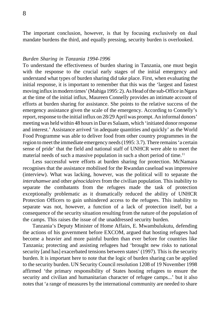The important conclusion, however, is that by focusing exclusively on dual mandate burdens the third, and equally pressing, security burden is overlooked.

# *Burden Sharing in Tanzania 1994-1996*

To understand the effectiveness of burden sharing in Tanzania, one must begin with the response to the crucial early stages of the initial emergency and understand what types of burden sharing did take place. First, when evaluating the initial response, it is important to remember that this was the 'largest and fastest moving influx in modern times' (Mahiga 1995: 2). As Head of the sub-Office in Ngara at the time of the initial influx, Maureen Connelly provides an intimate account of efforts at burden sharing for assistance. She points to the relative success of the emergency assistance given the scale of the emergency. According to Connelly's report, response to the initial influx on 28/29 April was prompt. An informal donors' meeting was held within 48 hours in Dar es Salaam, which 'initiated donor response and interest.' Assistance arrived 'in adequate quantities and quickly' as the World Food Programme was able to deliver food from other country programmes in the region to meet the immediate emergency needs (1995: 3.7). There remains 'a certain sense of pride' that the field and national staff of UNHCR were able to meet the material needs of such a massive population in such a short period of time.<sup>11</sup>

Less successful were efforts at burden sharing for protection. McNamara recognises that the assistance mobilised for the Rwandan caseload was impressive (interview). What was lacking, however, was the political will to separate the *interahamwe* and other *génocidaires* from the civilian population. This inability to separate the combatants from the refugees made the task of protection exceptionally problematic as it dramatically reduced the ability of UNHCR Protection Officers to gain unhindered access to the refugees. This inability to separate was not, however, a function of a lack of protection itself, but a consequence of the security situation resulting from the nature of the population of the camps. This raises the issue of the unaddressed security burden.

Tanzania's Deputy Minister of Home Affairs, E. Mwambulukutu, defending the actions of his government before EXCOM, argued that hosting refugees had become a heavier and more painful burden than ever before for countries like Tanzania; protecting and assisting refugees had 'brought new risks to national security [and has] exacerbated tensions between states' (1997). This is the security burden. It is important here to note that the logic of burden sharing can be applied to the security burden. UN Security Council resolution 1208 of 19 November 1998 affirmed 'the primary responsibility of States hosting refugees to ensure the security and civilian and humanitarian character of refugee camps...' but it also notes that 'a range of measures by the international community are needed to share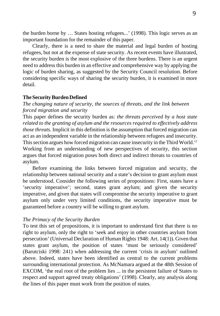the burden borne by … States hosting refugees...' (1998). This logic serves as an important foundation for the remainder of this paper.

Clearly, there is a need to share the material and legal burden of hosting refugees, but not at the expense of state security. As recent events have illustrated, the security burden is the most explosive of the three burdens. There is an urgent need to address this burden in an effective and comprehensive way by applying the logic of burden sharing, as suggested by the Security Council resolution. Before considering specific ways of sharing the security burden, it is examined in more detail.

# **The Security Burden Defined**

*The changing nature of security, the sources of threats, and the link between forced migration and security*

This paper defines the security burden as: *the threats perceived by a host state related to the granting of asylum and the resources required to effectively address those threats.* Implicit in this definition is the assumption that forced migration can act as an independent variable in the relationship between refugees and insecurity. This section argues how forced migration can cause insecurity in the Third World.<sup>12</sup> Working from an understanding of new perspectives of security, this section argues that forced migration poses both direct and indirect threats to countries of asylum.

Before examining the links between forced migration and security, the relationship between national security and a state's decision to grant asylum must be understood. Consider the following series of propositions: First, states have a 'security imperative'; second, states grant asylum; and given the security imperative, and given that states will compromise the security imperative to grant asylum only under very limited conditions, the security imperative must be guaranteed before a country will be willing to grant asylum.

#### *The Primacy of the Security Burden*

To test this set of propositions, it is important to understand first that there is no right to asylum, only the right to 'seek and enjoy in other countries asylum from persecution' (Universal Declaration of Human Rights 1948: Art. 14(1)). Given that states grant asylum, the position of states 'must be seriously considered' (Barutciski 1998: 241) when addressing the current 'crisis in asylum' outlined above. Indeed, states have been identified as central to the current problems surrounding international protection. As McNamara argued at the 48th Session of EXCOM, 'the real root of the problem lies ... in the persistent failure of States to respect and support agreed treaty obligations' (1998). Clearly, any analysis along the lines of this paper must work from the position of states.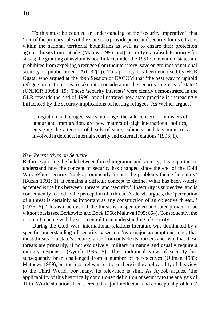To this must be coupled an understanding of the 'security imperative': that 'one of the primary roles of the state is to provide peace and security for its citizens within the national territorial boundaries as well as to ensure their protection against threats from outside' (Maluwa 1995: 654). Security is an absolute priority for states; the granting of asylum is not. In fact, under the 1951 Convention, states are prohibited from expelling a refugee from their territory 'save on grounds of national security or public order' (Art. 32(1)). This priority has been endorsed by HCR Ogata, who argued at the 49th Session of EXCOM that 'the best way to uphold refugee protection ... is to take into consideration the security interests of states' (UNHCR 1998d: 19). These 'security interests' were clearly demonstrated in the GLR towards the end of 1996, and illustrated how state practice is increasingly influenced by the security implications of hosting refugees. As Weiner argues,

...migration and refugee issues, no longer the sole concern of ministers of labour and immigration, are now matters of high international politics, engaging the attention of heads of state, cabinets, and key ministries involved in defence, internal security and external relations (1993: 1).

## *New Perspectives on Security*

Before exploring the link between forced migration and security, it is important to understand how the concept of security has changed since the end of the Cold War. While security 'ranks prominently among the problems facing humanity' (Buzan 1991: 1), it remains a difficult concept to define. What has been widely accepted is the link between 'threats' and 'security'. Insecurity is subjective, and is consequently rooted in the perception of a threat. As Jervis argues, the 'perception of a threat is certainly as important as any construction of an objective threat...' (1976: 6). This is true even if the threat is misperceived and later proved to be without basis (see Berkowitz and Bock 1968: Maluwa 1995: 654). Consequently, the origin of a perceived threat is central to an understanding of security.

During the Cold War, international relations literature was dominated by a specific understanding of security based on 'two major assumptions: one, that most threats to a state's security arise from outside its borders and two, that these threats are primarily, if not exclusively, military in nature and usually require a military response' (Ayoob 1995: 5). This traditional view of security has subsequently been challenged from a number of perspectives (Ullman 1983; Mathews 1989), but the most relevant criticism here is the applicability of this view to the Third World. For many, its relevance is slim. As Ayoob argues, 'the applicability of this historically conditioned definition of security to the analysis of Third World situations has ... created major intellectual and conceptual problems'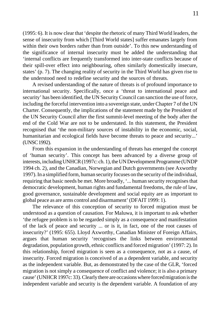(1995: 6). It is now clear that 'despite the rhetoric of many Third World leaders, the sense of insecurity from which [Third World states] suffer emanates largely from within their own borders rather than from outside'. To this new understanding of the significance of internal insecurity must be added the understanding that 'internal conflicts are frequently transformed into inter-state conflicts because of their spill-over effect into neighbouring, often similarly domestically insecure, states' (p. 7). The changing reality of security in the Third World has given rise to the understood need to redefine security and the sources of threats.

A revised understanding of the nature of threats is of profound importance to international security. Specifically, once a 'threat to international peace and security' has been identified, the UN Security Council can sanction the use of force, including the forceful intervention into a sovereign state, under Chapter 7 of the UN Charter. Consequently, the implications of the statement made by the President of the UN Security Council after the first summit-level meeting of the body after the end of the Cold War are not to be understated. In this statement, the President recognised that 'the non-military sources of instability in the economic, social, humanitarian and ecological fields have become threats to peace and security...' (UNSC 1992).

From this expansion in the understanding of threats has emerged the concept of 'human security'. This concept has been advanced by a diverse group of interests, including UNHCR (1997c: ch. 1), the UN Development Programme (UNDP 1994 ch. 2), and the Canadian, Norwegian and Dutch governments (see Axworthy 1997). In a simplified form, human security focuses on the security of the individual, requiring that basic needs be met. More broadly, '... human security recognises that democratic development, human rights and fundamental freedoms, the rule of law, good governance, sustainable development and social equity are as important to global peace as are arms control and disarmament' (DFAIT 1999: 1).

The relevance of this conception of security to forced migration must be understood as a question of causation. For Maluwa, it is important to ask whether 'the refugee problem is to be regarded simply as a consequence and manifestation of the lack of peace and security ... or is it, in fact, one of the root causes of insecurity?' (1995: 655). Lloyd Axworthy, Canadian Minister of Foreign Affairs, argues that human security 'recognises the links between environmental degradation, population growth, ethnic conflicts and forced migration' (1997: 2). In this relationship, forced migration is seen as a consequence, not as a cause, of insecurity. Forced migration is conceived of as a dependent variable, and security as the independent variable. But, as demonstrated by the case of the GLR, 'forced migration is not simply a consequence of conflict and violence; it is also a primary cause' (UNHCR 1997c: 33). Clearly there are occasions where forced migration is the independent variable and security is the dependent variable. A foundation of any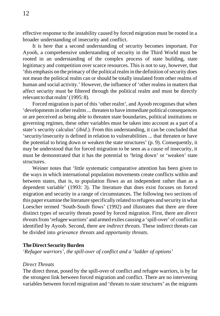effective response to the instability caused by forced migration must be rooted in a broader understanding of insecurity and conflict.

It is here that a second understanding of security becomes important. For Ayoob, a comprehensive understanding of security in the Third World must be rooted in an understanding of the complex process of state building, state legitimacy and competition over scarce resources. This is not to say, however, that 'this emphasis on the primacy of the political realm in the definition of security does not mean the political realm can or should be totally insulated from other realms of human and social activity.' However, the influence of 'other realms in matters that affect security must be filtered through the political realm and must be directly relevant to that realm' (1995: 8).

Forced migration is part of this 'other realm', and Ayoob recognises that when 'developments in other realms ... threaten to have immediate political consequences or are perceived as being able to threaten state boundaries, political institutions or governing regimes, these other variables must be taken into account as a part of a state's security calculus' (*ibid*.). From this understanding, it can be concluded that 'security/insecurity is defined in relation to vulnerabilities ... that threaten or have the potential to bring down or weaken the state structures' (p. 9). Consequently, it may be understood that for forced migration to be seen as a *cause* of insecurity, it must be demonstrated that it has the potential to 'bring down' or 'weaken' state structures.

Weiner notes that 'little systematic comparative attention has been given to the ways in which international population movements create conflicts within and between states, that is, to population flows as an independent rather than as a dependent variable' (1993: 3). The literature that does exist focuses on forced migration and security in a range of circumstances. The following two sections of this paper examine the literature specifically related to refugees and security in what Loescher termed 'South-South flows' (1992) and illustrates that there are three distinct types of security threats posed by forced migration. First, there are *direct threats* from 'refugee warriors' and armed exiles causing a 'spill-over' of conflict as identified by Ayoob. Second, there are *indirect threats*. These indirect threats can be divided into *grievance threats* and *opportunity threats*.

# **The Direct Security Burden**

*'Refugee warriors', the spill-over of conflict and a 'ladder of options'*

# *Direct Threats*

The direct threat, posed by the spill-over of conflict and refugee warriors, is by far the strongest link between forced migration and conflict. There are no intervening variables between forced migration and 'threats to state structures' as the migrants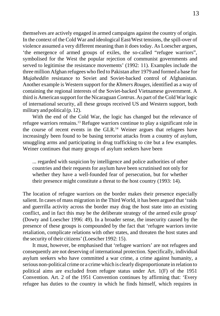themselves are actively engaged in armed campaigns against the country of origin. In the context of the Cold War and ideological East/West tensions, the spill-over of violence assumed a very different meaning than it does today. As Loescher argues, 'the emergence of armed groups of exiles, the so-called "refugee warriors", symbolised for the West the popular rejection of communist governments and served to legitimise the resistance movements' (1992: 11). Examples include the three million Afghan refugees who fled to Pakistan after 1979 and formed a base for *Mujaheddin* resistance to Soviet and Soviet-backed control of Afghanistan. Another example is Western support for the *Khmers Rouges*, identified as a way of containing the regional interests of the Soviet-backed Vietnamese government. A third is American support for the Nicaraguan *Contras*. As part of the Cold War logic of international security, all these groups received US and Western support, both military and political (p. 12).

With the end of the Cold War, the logic has changed but the relevance of refugee warriors remains.13 Refugee warriors continue to play a significant role in the course of recent events in the GLR.14 Weiner argues that refugees have increasingly been found to be basing terrorist attacks from a country of asylum, smuggling arms and participating in drug trafficking to cite but a few examples. Weiner continues that many groups of asylum seekers have been

... regarded with suspicion by intelligence and police authorities of other countries and their requests for asylum have been scrutinised not only for whether they have a well-founded fear of persecution, but for whether their presence might constitute a threat to the host country (1993: 14).

The location of refugee warriors on the border makes their presence especially salient. In cases of mass migration in the Third World, it has been argued that 'raids and guerrilla activity across the border may drag the host state into an existing conflict, and in fact this may be the deliberate strategy of the armed exile group' (Dowty and Loescher 1996: 49). In a broader sense, the insecurity caused by the presence of these groups is compounded by the fact that 'refugee warriors invite retaliation, complicate relations with other states, and threaten the host states and the security of their citizens' (Loescher 1992: 15).

It must, however, be emphasised that 'refugee warriors' are not refugees and consequently are not deserving of international protection. Specifically, individual asylum seekers who have committed a war crime, a crime against humanity, a serious non-political crime or a crime which is clearly disproportionate in relation to political aims are excluded from refugee status under Art. 1(F) of the 1951 Convention. Art. 2 of the 1951 Convention continues by affirming that: 'Every refugee has duties to the country in which he finds himself, which requires in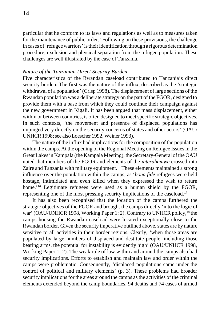particular that he conform to its laws and regulations as well as to measures taken for the maintenance of public order.' Following on these provisions, the challenge in cases of 'refugee warriors' is their identification through a rigorous determination procedure, exclusion and physical separation from the refugee population. These challenges are well illustrated by the case of Tanzania.

# *Nature of the Tanzanian Direct Security Burden*

Five characteristics of the Rwandan caseload contributed to Tanzania's direct security burden. The first was the nature of the influx, described as the 'strategic withdrawal of a population' (Crisp 1998). The displacement of large sections of the Rwandan population was a deliberate strategy on the part of the FGOR, designed to provide them with a base from which they could continue their campaign against the new government in Kigali. It has been argued that mass displacement, either within or between countries, is often designed to meet specific strategic objectives. In such contexts, 'the movement and presence of displaced populations has impinged very directly on the security concerns of states and other actors' (OAU/ UNHCR 1998; see also Loescher 1992, Weiner 1993).

The nature of the influx had implications for the composition of the population within the camps. At the opening of the Regional Meeting on Refugee Issues in the Great Lakes in Kampala (the Kampala Meeting), the Secretary-General of the OAU noted that members of the FGOR and elements of the *interahamwe* crossed into Zaire and Tanzania with military equipment.<sup>15</sup> These elements maintained a strong influence over the population within the camps, as '*bona fide* refugees were held hostage, intimidated and even killed when they expressed the wish to return home.<sup>'16</sup> Legitimate refugees were used as a human shield by the FGOR, representing one of the most pressing security implications of the caseload.17

It has also been recognised that the location of the camps furthered the strategic objectives of the FGOR and brought the camps directly 'into the logic of war' (OAU/UNHCR 1998, Working Paper 1: 2). Contrary to UNHCR policy,<sup>18</sup> the camps housing the Rwandan caseload were located exceptionally close to the Rwandan border. Given the security imperative outlined above, states are by nature sensitive to all activities in their border regions. Clearly, 'when those areas are populated by large numbers of displaced and destitute people, including those bearing arms, the potential for instability is evidently high' (OAU/UNHCR 1998, Working Paper 1: 2). The weak rule of law within and around the camps also had security implications. Efforts to establish and maintain law and order within the camps were problematic. Consequently, 'displaced populations came under the control of political and military elements' (p. 3). These problems had broader security implications for the areas around the camps as the activities of the criminal elements extended beyond the camp boundaries. 94 deaths and 74 cases of armed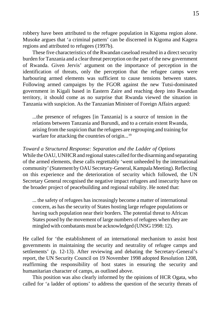robbery have been attributed to the refugee population in Kigoma region alone. Musoke argues that 'a criminal pattern' can be discerned in Kigoma and Kagera regions and attributed to refugees (1997b).

These five characteristics of the Rwandan caseload resulted in a direct security burden for Tanzania and a clear threat perception on the part of the new government of Rwanda. Given Jervis' argument on the importance of perception in the identification of threats, only the perception that the refugee camps were harbouring armed elements was sufficient to cause tensions between states. Following armed campaigns by the FGOR against the new Tutsi-dominated government in Kigali based in Eastern Zaire and reaching deep into Rwandan territory, it should come as no surprise that Rwanda viewed the situation in Tanzania with suspicion. As the Tanzanian Minister of Foreign Affairs argued:

...the presence of refugees [in Tanzania] is a source of tension in the relations between Tanzania and Burundi, and to a certain extent Rwanda, arising from the suspicion that the refugees are regrouping and training for warfare for attacking the countries of origin...<sup>19</sup>

# *Toward a Structured Response: Separation and the Ladder of Options*

While the OAU, UNHCR and regional states called for the disarming and separating of the armed elements, these calls regrettably 'went unheeded by the international community' (Statement by OAU Secretary-General, Kampala Meeting). Reflecting on this experience and the deterioration of security which followed, the UN Secretary General recognised the negative impact refugees and insecurity have on the broader project of peacebuilding and regional stability. He noted that:

... the safety of refugees has increasingly become a matter of international concern, as has the security of States hosting large refugee populations or having such population near their borders. The potential threat to African States posed by the movement of large numbers of refugees when they are mingled with combatants must be acknowledged (UNSG 1998: 12).

He called for 'the establishment of an international mechanism to assist host governments in maintaining the security and neutrality of refugee camps and settlements' (p. 12-13). After reviewing and debating the Secretary-General's report, the UN Security Council on 19 November 1998 adopted Resolution 1208, reaffirming the responsibility of host states in ensuring the security and humanitarian character of camps, as outlined above.

This position was also clearly informed by the opinions of HCR Ogata, who called for 'a ladder of options' to address the question of the security threats of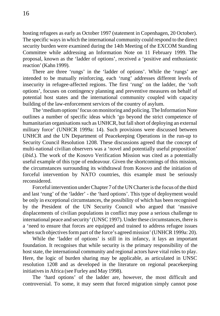hosting refugees as early as October 1997 (statement in Copenhagen, 20 October). The specific ways in which the international community could respond to the direct security burden were examined during the 14th Meeting of the EXCOM Standing Committee while addressing an Information Note on 11 February 1999. The proposal, known as the 'ladder of options', received a 'positive and enthusiastic reaction' (Kahn 1999).

There are three 'rungs' in the 'ladder of options'. While the 'rungs' are intended to be mutually reinforcing, each 'rung' addresses different levels of insecurity in refugee-affected regions. The first 'rung' on the ladder, the 'soft options', focuses on contingency planning and preventive measures on behalf of potential host states and the international community coupled with capacity building of the law-enforcement services of the country of asylum.

The 'medium options' focus on monitoring and policing. The Information Note outlines a number of specific ideas which 'go beyond the strict competence of humanitarian organisations such as UNHCR, but fall short of deploying an external military force' (UNHCR 1999a: 14). Such provisions were discussed between UNHCR and the UN Department of Peacekeeping Operations in the run-up to Security Council Resolution 1208. These discussions agreed that the concept of multi-national civilian observers was a 'novel and potentially useful proposition' (*ibid*.). The work of the Kosovo Verification Mission was cited as a potentially useful example of this type of endeavour. Given the shortcomings of this mission, the circumstances surrounding its withdrawal from Kosovo and the initiation of forceful intervention by NATO countries, this example must be seriously reconsidered.

Forceful intervention under Chapter 7 of the UN Charter is the focus of the third and last 'rung' of the 'ladder' - the 'hard options'. This type of deployment would be only in exceptional circumstances, the possibility of which has been recognised by the President of the UN Security Council who argued that 'massive displacements of civilian populations in conflict may pose a serious challenge to international peace and security' (UNSC 1997). Under these circumstances, there is a 'need to ensure that forces are equipped and trained to address refugee issues when such objectives form part of the force's agreed mission' (UNHCR 1999a: 20).

While the 'ladder of options' is still in its infancy, it lays an important foundation. It recognises that while security is the primary responsibility of the host state, the international community and regional actors have vital roles to play. Here, the logic of burden sharing may be applicable, as articulated in UNSC resolution 1208 and as developed in the literature on regional peacekeeping initiatives in Africa (see Furley and May 1998).

The 'hard options' of the ladder are, however, the most difficult and controversial. To some, it may seem that forced migration simply cannot pose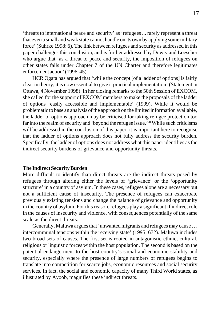'threats to international peace and security' as 'refugees ... rarely represent a threat that even a small and weak state cannot handle on its own by applying some military force' (Suhrke 1998: 6). The link between refugees and security as addressed in this paper challenges this conclusion, and is further addressed by Dowty and Loescher who argue that 'as a threat to peace and security, the imposition of refugees on other states falls under Chapter 7 of the UN Charter and therefore legitimates enforcement action' (1996: 45).

HCR Ogata has argued that 'while the concept [of a ladder of options] is fairly clear in theory, it is now essential to give it practical implementation' (Statement in Ottawa, 4 November 1998). In her closing remarks to the 50th Session of EXCOM, she called for the support of EXCOM members to make the proposals of the ladder of options 'easily accessible and implementable' (1999). While it would be problematic to base an analysis of the approach on the limited information available, the ladder of options approach may be criticised for taking refugee protection too far into the realm of security and 'beyond the refugee issue.'<sup>20</sup> While such criticisms will be addressed in the conclusion of this paper, it is important here to recognise that the ladder of options approach does not fully address the security burden. Specifically, the ladder of options does not address what this paper identifies as the indirect security burdens of grievance and opportunity threats.

#### **The Indirect Security Burden**

More difficult to identify than direct threats are the indirect threats posed by refugees through altering either the levels of 'grievance' or the 'opportunity structure' in a country of asylum. In these cases, refugees alone are a necessary but not a sufficient cause of insecurity. The presence of refugees can exacerbate previously existing tensions and change the balance of grievance and opportunity in the country of asylum. For this reason, refugees play a significant if indirect role in the causes of insecurity and violence, with consequences potentially of the same scale as the direct threats.

Generally, Maluwa argues that 'unwanted migrants and refugees may cause … intercommunal tensions within the receiving state' (1995: 672). Maluwa includes two broad sets of causes. The first set is rooted in antagonistic ethnic, cultural, religious or linguistic forces within the host population. The second is based on the potential endangerment to the host country's social and economic stability and security, especially where the presence of large numbers of refugees begins to translate into competition for scarce jobs, economic resources and social security services. In fact, the social and economic capacity of many Third World states, as illustrated by Ayoob, magnifies these indirect threats.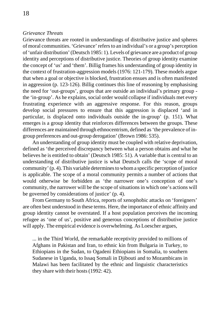# *Grievance Threats*

Grievance threats are rooted in understandings of distributive justice and spheres of moral communities. 'Grievance'refers to an individual's or a group's perception of 'unfair distribution' (Deutsch 1985: 1). Levels of grievance are a product of group identity and perceptions of distributive justice. Theories of group identity examine the concept of 'us' and 'them'. Billig frames his understanding of group identity in the context of frustration-aggression models (1976: 121-179). These models argue that when a goal or objective is blocked, frustration ensues and is often manifested in aggression (p. 123-126). Billig continues this line of reasoning by emphasising the need for 'out-groups', groups that are outside an individual's primary group the 'in-group'. As he explains, social order would collapse if individuals met every frustrating experience with an aggressive response. For this reason, groups develop social pressures to ensure that this aggression is displaced 'and in particular, is displaced onto individuals outside the in-group' (p. 151). What emerges is a group identity that reinforces differences between the groups. These differences are maintained through ethnocentrism, defined as 'the prevalence of ingroup preferences and out-group derogation' (Brown 1986: 535).

An understanding of group identity must be coupled with relative deprivation, defined as 'the perceived discrepancy between what a person obtains and what he believes he is entitled to obtain' (Deutsch 1985: 51). A variable that is central to an understanding of distributive justice is what Deutsch calls the 'scope of moral community' (p. 4). This variable determines to whom a specific perception of justice is applicable. The scope of a moral community permits a number of actions that would otherwise be forbidden as 'the narrower one's conception of one's community, the narrower will be the scope of situations in which one's actions will be governed by considerations of justice' (p. 4).

From Germany to South Africa, reports of xenophobic attacks on 'foreigners' are often best understood in these terms. Here, the importance of ethnic affinity and group identity cannot be overstated. If a host population perceives the incoming refugee as 'one of us', positive and generous conceptions of distributive justice will apply. The empirical evidence is overwhelming. As Loescher argues,

... in the Third World, the remarkable receptivity provided to millions of Afghans in Pakistan and Iran, to ethnic kin from Bulgaria in Turkey, to Ethiopians in the Sudan, to Ogadeni Ethiopians in Somalia, to southern Sudanese in Uganda, to Issaq Somali in Djibouti and to Mozambicans in Malawi has been facilitated by the ethnic and linguistic characteristics they share with their hosts (1992: 42).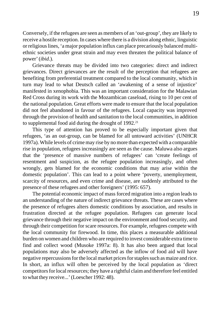Conversely, if the refugees are seen as members of an 'out-group', they are likely to receive a hostile reception. In cases where there is a division along ethnic, linguistic or religious lines, 'a major population influx can place precariously balanced multiethnic societies under great strain and may even threaten the political balance of power' (*ibid*.).

Grievance threats may be divided into two categories: direct and indirect grievances. Direct grievances are the result of the perception that refugees are benefiting from preferential treatment compared to the local community, which in turn may lead to what Deutsch called an 'awakening of a sense of injustice' manifested in xenophobia. This was an important consideration for the Malawian Red Cross during its work with the Mozambican caseload, rising to 10 per cent of the national population. Great efforts were made to ensure that the local population did not feel abandoned in favour of the refugees. Local capacity was improved through the provision of health and sanitation to the local communities, in addition to supplemental food aid during the drought of 1992.<sup>21</sup>

This type of attention has proved to be especially important given that refugees, 'as an out-group, can be blamed for all untoward activities' (UNHCR 1997a). While levels of crime may rise by no more than expected with a comparable rise in population, refugees increasingly are seen as the cause. Maluwa also argues that the 'presence of massive numbers of refugees' can 'create feelings of resentment and suspicion, as the refugee population increasingly, and often wrongly, gets blamed for the economic conditions that may arise within the domestic population'. This can lead to a point where 'poverty, unemployment, scarcity of resources, and even crime and disease, are suddenly attributed to the presence of these refugees and other foreigners' (1995: 657).

The potential economic impact of mass forced migration into a region leads to an understanding of the nature of indirect grievance threats. These are cases where the presence of refugees alters domestic conditions by association, and results in frustration directed at the refugee population. Refugees can generate local grievance through their negative impact on the environment and food security, and through their competition for scare resources. For example, refugees compete with the local community for firewood. In time, this places a measurable additional burden on women and children who are required to invest considerable extra time to find and collect wood (Musoke 1997a: 8). It has also been argued that local populations may also be adversely affected as the inflow of food aid will have negative repercussions for the local market prices for staples such as maize and rice. In short, an influx will often be perceived by the local population as 'direct competitors for local resources; they have a rightful claim and therefore feel entitled to what they receive...' (Loescher 1992: 48).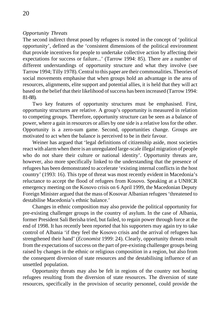# *Opportunity Threats*

The second indirect threat posed by refugees is rooted in the concept of 'political opportunity', defined as the 'consistent dimensions of the political environment that provide incentives for people to undertake collective action by affecting their expectations for success or failure...' (Tarrow 1994: 85). There are a number of different understandings of opportunity structure and what they involve (see Tarrow 1994; Tilly 1978). Central to this paper are their commonalities. Theories of social movements emphasise that when groups hold an advantage in the area of resources, alignments, elite support and potential allies, it is held that they will act based on the belief that their likelihood of success has been increased (Tarrow 1994: 81-88).

Two key features of opportunity structures must be emphasised. First, opportunity structures are relative. A group's opportunity is measured in relation to competing groups. Therefore, opportunity structure can be seen as a balance of power, where a gain in resources or allies by one side is a relative loss for the other. Opportunity is a zero-sum game. Second, opportunities change. Groups are motivated to act when the balance is perceived to be in their favour.

Weiner has argued that 'legal definitions of citizenship aside, most societies react with alarm when there is an unregulated large-scale illegal migration of people who do not share their culture or national identity'. Opportunity threats are, however, also more specifically linked to the understanding that the presence of refugees has been demonstrated to accelerate 'existing internal conflicts in the host country' (1993: 16). This type of threat was most recently evident in Macedonia's reluctance to accept the flood of refugees from Kosovo. Speaking at a UNHCR emergency meeting on the Kosovo crisis on 6 April 1999, the Macedonian Deputy Foreign Minister argued that the mass of Kosovar Albanian refugees 'threatened to destabilise Macedonia's ethnic balance.'

Changes in ethnic composition may also provide the political opportunity for pre-existing challenger groups in the country of asylum. In the case of Albania, former President Sali Berisha tried, but failed, to regain power through force at the end of 1998. It has recently been reported that his supporters may again try to take control of Albania 'if they feel the Kosovo crisis and the arrival of refugees has strengthened their hand' (*Economist* 1999: 24). Clearly, opportunity threats result from the expectations of success on the part of pre-existing challenger groups being raised by changes in the ethnic or religious composition in a region, but also from the consequent diversion of state resources and the destabilising influence of an unsettled population.

Opportunity threats may also be felt in regions of the country not hosting refugees resulting from the diversion of state resources. The diversion of state resources, specifically in the provision of security personnel, could provide the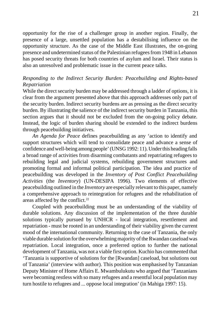opportunity for the rise of a challenger group in another region. Finally, the presence of a large, unsettled population has a destabilising influence on the opportunity structure. As the case of the Middle East illustrates, the on-going presence and undetermined status of the Palestinian refugees from 1948 in Lebanon has posed security threats for both countries of asylum and Israel. Their status is also an unresolved and problematic issue in the current peace talks.

# *Responding to the Indirect Security Burden: Peacebuilding and Rights-based Repatriation*

While the direct security burden may be addressed through a ladder of options, it is clear from the argument presented above that this approach addresses only part of the security burden. Indirect security burdens are as pressing as the direct security burden. By illustrating the salience of the indirect security burden in Tanzania, this section argues that it should not be excluded from the on-going policy debate. Instead, the logic of burden sharing should be extended to the indirect burdens through peacebuilding initiatives.

*An Agenda for Peace* defines peacebuilding as any 'action to identify and support structures which will tend to consolidate peace and advance a sense of confidence and well-being among people' (UNSG 1992: 11). Under this heading falls a broad range of activities from disarming combatants and repatriating refugees to rebuilding legal and judicial systems, rebuilding government structures and promoting formal and informal political participation. The idea and practice of peacebuilding was developed in the *Inventory of Post Conflict Peacebuilding Activities* (the *Inventory*) (UN-DESIPA 1996). Two elements of effective peacebuilding outlined in the *Inventory* are especially relevant to this paper, namely a comprehensive approach to reintegration for refugees and the rehabilitation of areas affected by the conflict.<sup>22</sup>

Coupled with peacebuilding must be an understanding of the viability of durable solutions. Any discussion of the implementation of the three durable solutions typically pursued by UNHCR - local integration, resettlement and repatriation - must be rooted in an understanding of their viability given the current mood of the international community. Returning to the case of Tanzania, the only viable durable solution for the overwhelming majority of the Rwandan caseload was repatriation. Local integration, once a preferred option to further the national development of Tanzania, was not a viable first option. Kuchio has commented that 'Tanzania is supportive of solutions for the [Rwandan] caseload, but solutions out of Tanzania' (interview with author). This position was emphasised by Tanzanian Deputy Minister of Home Affairs E. Mwambulukutu who argued that 'Tanzanians were becoming restless with so many refugees and a resentful local population may turn hostile to refugees and ... oppose local integration' (in Mahiga 1997: 15).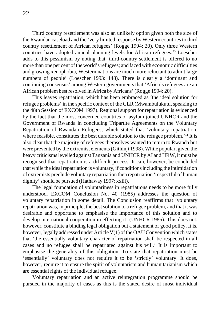Third country resettlement was also an unlikely option given both the size of the Rwandan caseload and the 'very limited response by Western countries to third country resettlement of African refugees' (Rogge 1994: 20). Only three Western countries have adopted annual planning levels for African refugees.<sup>23</sup> Loescher adds to this pessimism by noting that 'third-country settlement is offered to no more than one per cent of the world's refugees; and faced with economic difficulties and growing xenophobia, Western nations are much more reluctant to admit large numbers of people' (Loescher 1993: 148). There is clearly a 'dominant and continuing consensus' among Western governments that 'Africa's refugees are an African problem best resolved in Africa by Africans' (Rogge 1994: 20).

This leaves repatriation, which has been embraced as 'the ideal solution for refugee problems' in the specific context of the GLR (Mwambulukutu, speaking to the 48th Session of EXCOM 1997). Regional support for repatriation is evidenced by the fact that the most concerned countries of asylum joined UNHCR and the Government of Rwanda in concluding Tripartite Agreements on the Voluntary Repatriation of Rwandan Refugees, which stated that 'voluntary repatriation, where feasible, constitutes the best durable solution to the refugee problem.<sup>'24</sup> It is also clear that the majority of refugees themselves wanted to return to Rwanda but were prevented by the extremist elements (Githinji 1998). While popular, given the heavy criticisms levelled against Tanzania and UNHCR by AI and HRW, it must be recognised that repatriation is a difficult process. It can, however, be concluded that while the ideal repatriation is voluntary, if conditions including the intimidation of extremists preclude voluntary repatriation then repatriation 'respectful of human dignity' should be pursued (Hathaway 1997: xxiii).

The legal foundation of voluntariness in repatriations needs to be more fully understood. EXCOM Conclusion No. 40 (1985) addresses the question of voluntary repatriation in some detail. The Conclusion reaffirms that 'voluntary repatriation was, in principle, the best solution to a refugee problem, and that it was desirable and opportune to emphasise the importance of this solution and to develop international cooperation in effecting it' (UNHCR 1985). This does not, however, constitute a binding legal obligation but a statement of good policy. It is, however, legally addressed under Article V(1) of the OAU Convention which states that 'the essentially voluntary character of repatriation shall be respected in all cases and no refugee shall be repatriated against his will.' It is important to emphasise the generality of this obligation. To state that repatriation must be 'essentially' voluntary does not require it to be 'strictly' voluntary. It does, however, require it to ensure the spirit of voluntarism and humanitarianism which are essential rights of the individual refugee.

Voluntary repatriation and an active reintegration programme should be pursued in the majority of cases as this is the stated desire of most individual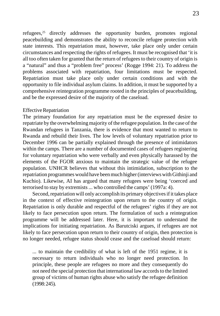refugees,<sup>25</sup> directly addresses the opportunity burden, promotes regional peacebuilding and demonstrates the ability to reconcile refugee protection with state interests. This repatriation must, however, take place only under certain circumstances and respecting the rights of refugees. It must be recognised that 'it is all too often taken for granted that the return of refugees to their country of origin is a "natural" and thus a "problem free" process' (Rogge 1994: 21). To address the problems associated with repatriation, four limitations must be respected. Repatriation must take place only under certain conditions and with the opportunity to file individual asylum claims. In addition, it must be supported by a comprehensive reintegration programme rooted in the principles of peacebuilding, and be the expressed desire of the majority of the caseload.

# Effective Repatriation

The primary foundation for any repatriation must be the expressed desire to repatriate by the overwhelming majority of the refugee population. In the case of the Rwandan refugees in Tanzania, there is evidence that most wanted to return to Rwanda and rebuild their lives. The low levels of voluntary repatriation prior to December 1996 can be partially explained through the presence of intimidators within the camps. There are a number of documented cases of refugees registering for voluntary repatriation who were verbally and even physically harassed by the elements of the FGOR anxious to maintain the strategic value of the refugee population. UNHCR believes that without this intimidation, subscription to the repatriation programmes would have been much higher (interviews with Githinji and Kuchio). Likewise, AI has argued that many refugees were being 'coerced and terrorised to stay by extremists ... who controlled the camps' (1997a: 4).

Second, repatriation will only accomplish its primary objectives if it takes place in the context of effective reintegration upon return to the country of origin. Repatriation is only durable and respectful of the refugees' rights if they are not likely to face persecution upon return. The formulation of such a reintegration programme will be addressed later. Here, it is important to understand the implications for initiating repatriation. As Barutciski argues, if refugees are not likely to face persecution upon return to their country of origin, then protection is no longer needed, refugee status should cease and the caseload should return:

... to maintain the credibility of what is left of the 1951 regime, it is necessary to return individuals who no longer need protection. In principle, these people are refugees no more and they consequently do not need the special protection that international law accords to the limited group of victims of human rights abuse who satisfy the refugee definition (1998: 245).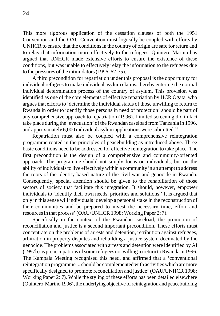This more rigorous application of the cessation clauses of both the 1951 Convention and the OAU Convention must logically be coupled with efforts by UNHCR to ensure that the conditions in the country of origin are safe for return and to relay that information more effectively to the refugees. Quintero-Marino has argued that UNHCR made extensive efforts to ensure the existence of these conditions, but was unable to effectively relay the information to the refugees due to the pressures of the intimidators (1996: 62-75).

A third precondition for repatriation under this proposal is the opportunity for individual refugees to make individual asylum claims, thereby entering the normal individual determination process of the country of asylum. This provision was identified as one of the core elements of effective repatriation by HCR Ogata, who argues that efforts to 'determine the individual status of those unwilling to return to Rwanda in order to identify those persons in need of protection' should be part of any comprehensive approach to repatriation (1996). Limited screening did in fact take place during the 'evacuation' of the Rwandan caseload from Tanzania in 1996, and approximately 6,000 individual asylum applications were submitted.<sup>26</sup>

Repatriation must also be coupled with a comprehensive reintegration programme rooted in the principles of peacebuilding as introduced above. Three basic conditions need to be addressed for effective reintegration to take place. The first precondition is the design of a comprehensive and community-oriented approach. The programme should not simply focus on individuals, but on the ability of individuals to live effectively within a community in an attempt to address the roots of the identity-based nature of the civil war and genocide in Rwanda. Consequently, special attention should be given to the rehabilitation of those sectors of society that facilitate this integration. It should, however, empower individuals to 'identify their own needs, priorities and solutions.' It is argued that only in this sense will individuals 'develop a personal stake in the reconstruction of their communities and be prepared to invest the necessary time, effort and resources in that process' (OAU/UNHCR 1998: Working Paper 2: 7).

Specifically in the context of the Rwandan caseload, the promotion of reconciliation and justice is a second important precondition. These efforts must concentrate on the problems of arrests and detention, retribution against refugees, arbitration in property disputes and rebuilding a justice system decimated by the genocide. The problems associated with arrests and detention were identified by AI (1997b) as preoccupations of some refugees not willing to return to Rwanda in 1996. The Kampala Meeting recognised this need, and affirmed that a 'conventional reintegration programme ... should be complemented with activities which are more specifically designed to promote reconciliation and justice' (OAU/UNHCR 1998: Working Paper 2: 7). While the styling of these efforts has been detailed elsewhere (Quintero-Marino 1996), the underlying objective of reintegration and peacebuilding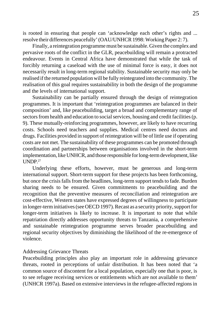is rooted in ensuring that people can 'acknowledge each other's rights and ... resolve their differences peacefully' (OAU/UNHCR 1998: Working Paper 2: 7).

Finally, a reintegration programme must be sustainable. Given the complex and pervasive roots of the conflict in the GLR, peacebuilding will remain a protracted endeavour. Events in Central Africa have demonstrated that while the task of forcibly returning a caseload with the use of minimal force is easy, it does not necessarily result in long-term regional stability. Sustainable security may only be realised if the returned population will be fully reintegrated into the community. The realisation of this goal requires sustainability in both the design of the programme and the levels of international support.

Sustainability can be partially ensured through the design of reintegration programmes. It is important that 'reintegration programmes are balanced in their composition' and, like peacebuilding, target a broad and complementary range of sectors from health and education to social services, housing and credit facilities (p. 9). These mutually-reinforcing programmes, however, are likely to have recurring costs. Schools need teachers and supplies. Medical centres need doctors and drugs. Facilities provided in support of reintegration will be of little use if operating costs are not met. The sustainability of these programmes can be promoted through coordination and partnerships between organisations involved in the short-term implementation, like UNHCR, and those responsible for long-term development, like I INDP 27

Underlying these efforts, however, must be generous and long-term international support. Short-term support for these projects has been forthcoming, but once the crisis falls from the headlines, long-term support tends to fade. Burden sharing needs to be ensured. Given commitments to peacebuilding and the recognition that the preventive measures of reconciliation and reintegration are cost-effective, Western states have expressed degrees of willingness to participate in longer-term initiatives (see OECD 1997). Recast as a security priority, support for longer-term initiatives is likely to increase. It is important to note that while repatriation directly addresses opportunity threats to Tanzania, a comprehensive and sustainable reintegration programme serves broader peacebuilding and regional security objectives by diminishing the likelihood of the re-emergence of violence.

#### Addressing Grievance Threats

Peacebuilding principles also play an important role in addressing grievance threats, rooted in perceptions of unfair distribution. It has been noted that 'a common source of discontent for a local population, especially one that is poor, is to see refugee receiving services or entitlements which are not available to them' (UNHCR 1997a). Based on extensive interviews in the refugee-affected regions in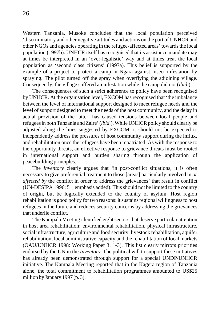Western Tanzania, Musoke concludes that the local population perceived 'discriminatory and other negative attitudes and actions on the part of UNHCR and other NGOs and agencies operating in the refugee-affected areas' towards the local population (1997b). UNHCR itself has recognised that its assistance mandate may at times be interpreted in an 'over-legalistic' way and at times treat the local population as 'second class citizens' (1997a). This belief is supported by the example of a project to protect a camp in Ngara against insect infestation by spraying. The pilot turned off the spray when overflying the adjoining village. Consequently, the village suffered an infestation while the camp did not (*ibid*.).

The consequences of such a strict adherence to policy have been recognised by UNHCR. At the organisation level, EXCOM has recognised that 'the imbalance between the level of international support designed to meet refugee needs and the level of support designed to meet the needs of the host community, and the delay in actual provision of the latter, has caused tensions between local people and refugees in both Tanzania and Zaire' (*ibid*.). While UNHCR policy should clearly be adjusted along the lines suggested by EXCOM, it should not be expected to independently address the pressures of host community support during the influx, and rehabilitation once the refugees have been repatriated. As with the response to the opportunity threats, an effective response to grievance threats must be rooted in international support and burden sharing through the application of peacebuilding principles.

The *Inventory* clearly argues that 'in post-conflict situations, it is often necessary to give preferential treatment to those [areas] particularly involved in *or affected by* the conflict in order to address the grievances' that result in conflict (UN-DESIPA 1996: 51; emphasis added). This should not be limited to the country of origin, but be logically extended to the country of asylum. Host region rehabilitation is good policy for two reasons: it sustains regional willingness to host refugees in the future and reduces security concerns by addressing the grievances that underlie conflict.

The Kampala Meeting identified eight sectors that deserve particular attention in host area rehabilitation: environmental rehabilitation, physical infrastructure, social infrastructure, agriculture and food security, livestock rehabilitation, aquifer rehabilitation, local administrative capacity and the rehabilitation of local markets (OAU/UNHCR 1998: Working Paper 3: 1-3). This list clearly mirrors priorities endorsed by the UN in the *Inventory*. The political will to support these initiatives has already been demonstrated through support for a special UNDP/UNHCR initiative. The Kampala Meeting reported that in the Kagera region of Tanzania alone, the total commitment to rehabilitation programmes amounted to US\$25 million by January 1997 (p. 3).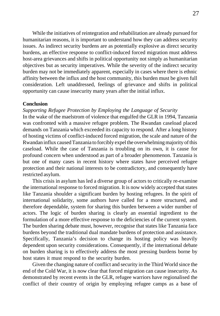While the initiatives of reintegration and rehabilitation are already pursued for humanitarian reasons, it is important to understand how they can address security issues. As indirect security burdens are as potentially explosive as direct security burdens, an effective response to conflict-induced forced migration must address host-area grievances and shifts in political opportunity not simply as humanitarian objectives but as security imperatives. While the severity of the indirect security burden may not be immediately apparent, especially in cases where there is ethnic affinity between the influx and the host community, this burden must be given full consideration. Left unaddressed, feelings of grievance and shifts in political opportunity can cause insecurity many years after the initial influx.

# **Conclusion**

*Supporting Refugee Protection by Employing the Language of Security*

In the wake of the maelstrom of violence that engulfed the GLR in 1994, Tanzania was confronted with a massive refugee problem. The Rwandan caseload placed demands on Tanzania which exceeded its capacity to respond. After a long history of hosting victims of conflict-induced forced migration, the scale and nature of the Rwandan influx caused Tanzania to forcibly expel the overwhelming majority of this caseload. While the case of Tanzania is troubling on its own, it is cause for profound concern when understood as part of a broader phenomenon. Tanzania is but one of many cases in recent history where states have perceived refugee protection and their national interests to be contradictory, and consequently have restricted asylum.

This crisis in asylum has led a diverse group of actors to critically re-examine the international response to forced migration. It is now widely accepted that states like Tanzania shoulder a significant burden by hosting refugees. In the spirit of international solidarity, some authors have called for a more structured, and therefore dependable, system for sharing this burden between a wider number of actors. The logic of burden sharing is clearly an essential ingredient to the formulation of a more effective response to the deficiencies of the current system. The burden sharing debate must, however, recognise that states like Tanzania face burdens beyond the traditional dual mandate burdens of protection and assistance. Specifically, Tanzania's decision to change its hosting policy was heavily dependent upon security considerations. Consequently, if the international debate on burden sharing is to effectively address the most pressing burdens borne by host states it must respond to the security burden.

Given the changing nature of conflict and security in the Third World since the end of the Cold War, it is now clear that forced migration can cause insecurity. As demonstrated by recent events in the GLR, refugee warriors have regionalised the conflict of their country of origin by employing refugee camps as a base of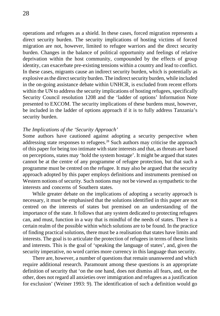operations and refugees as a shield. In these cases, forced migration represents a direct security burden. The security implications of hosting victims of forced migration are not, however, limited to refugee warriors and the direct security burden. Changes in the balance of political opportunity and feelings of relative deprivation within the host community, compounded by the effects of group identity, can exacerbate pre-existing tensions within a country and lead to conflict. In these cases, migrants cause an indirect security burden, which is potentially as explosive as the direct security burden. The indirect security burden, while included in the on-going assistance debate within UNHCR, is excluded from recent efforts within the UN to address the security implications of hosting refugees, specifically Security Council resolution 1208 and the 'ladder of options' Information Note presented to EXCOM. The security implications of these burdens must, however, be included in the ladder of options approach if it is to fully address Tanzania's security burden.

# *The Implications of the 'Security Approach'*

Some authors have cautioned against adopting a security perspective when addressing state responses to refugees.28 Such authors may criticise the approach of this paper for being too intimate with state interests and that, as threats are based on perceptions, states may 'hold the system hostage'. It might be argued that states cannot be at the centre of any programme of refugee protection, but that such a programme must be centred on the refugee. It may also be argued that the security approach adopted by this paper employs definitions and instruments premised on Western notions of security. Such notions may not be viewed as sympathetic to the interests and concerns of Southern states.

While greater debate on the implications of adopting a security approach is necessary, it must be emphasised that the solutions identified in this paper are not centred on the interests of states but premised on an understanding of the importance of the state. It follows that any system dedicated to protecting refugees can, and must, function in a way that is mindful of the needs of states. There is a certain realm of the possible within which solutions are to be found. In the practice of finding practical solutions, there must be a realisation that states have limits and interests. The goal is to articulate the protection of refugees in terms of these limits and interests. This is the goal of 'speaking the language of states', and, given the security imperative, no word carries more currency in this language than security.

There are, however, a number of questions that remain unanswered and which require additional research. Paramount among these questions is an appropriate definition of security that 'on the one hand, does not dismiss all fears, and, on the other, does not regard all anxieties over immigration and refugees as a justification for exclusion' (Weiner 1993: 9). The identification of such a definition would go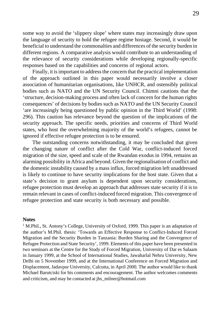some way to avoid the 'slippery slope' where states may increasingly draw upon the language of security to hold the refugee regime hostage. Second, it would be beneficial to understand the commonalties and differences of the security burden in different regions. A comparative analysis would contribute to an understanding of the relevance of security considerations while developing regionally-specific responses based on the capabilities and concerns of regional actors.

Finally, it is important to address the concern that the practical implementation of the approach outlined in this paper would necessarily involve a closer association of humanitarian organisations, like UNHCR, and ostensibly political bodies such as NATO and the UN Security Council. Chimni cautions that the 'structure, decision-making process and often lack of concern for the human rights consequences' of decisions by bodies such as NATO and the UN Security Council 'are increasingly being questioned by public opinion in the Third World' (1998: 296). This caution has relevance beyond the question of the implications of the security approach. The specific needs, priorities and concerns of Third World states, who host the overwhelming majority of the world's refugees, cannot be ignored if effective refugee protection is to be ensured.

The outstanding concerns notwithstanding, it may be concluded that given the changing nature of conflict after the Cold War, conflict-induced forced migration of the size, speed and scale of the Rwandan exodus in 1994, remains an alarming possibility in Africa and beyond. Given the regionalisation of conflict and the domestic instability caused by a mass influx, forced migration left unaddressed is likely to continue to have security implications for the host state. Given that a state's decision to grant asylum is dependent upon security considerations, refugee protection must develop an approach that addresses state security if it is to remain relevant in cases of conflict-induced forced migration. This convergence of refugee protection and state security is both necessary and possible.

# **Notes**

<sup>1</sup> M.Phil., St. Antony's College, University of Oxford, 1999. This paper is an adaptation of the author's M.Phil. thesis: 'Towards an Effective Response to Conflict-Induced Forced Migration and the Security Burden in Tanzania: Burden Sharing and the Convergence of Refugee Protection and State Security', 1999. Elements of this paper have been presented in two seminars at the Centre for the Study of Forced Migration, University of Dar es Salaam in January 1999, at the School of International Studies, Jawaharlal Nehru University, New Delhi on 5 November 1999, and at the International Conference on Forced Migration and Displacement, Jadavpur University, Calcutta, in April 2000. The author would like to thank Michael Barutciski for his comments and encouragement. The author welcomes comments and criticism, and may be contacted at jhs\_milner@hotmail.com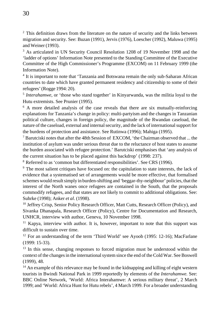$2$ <sup>2</sup> This definition draws from the literature on the nature of security and the links between migration and security. See: Buzan (1991), Jervis (1976), Loescher (1992), Maluwa (1995) and Weiner (1993).

<sup>3</sup> As articulated in UN Security Council Resolution 1208 of 19 November 1998 and the 'ladder of options' Information Note presented to the Standing Committee of the Executive Committee of the High Commissioner's Programme (EXCOM) on 11 February 1999 (the Information Note).

<sup>4</sup> It is important to note that 'Tanzania and Botswana remain the only sub-Saharan African countries to date which have granted permanent residency and citizenship to some of their refugees' (Rogge 1994: 20).

<sup>5</sup> *Interahamwe*, or 'those who stand together' in Kinyarwanda, was the militia loyal to the Hutu extremists. See Prunier (1995).

<sup>6</sup> A more detailed analysis of the case reveals that there are six mutually-reinforcing explanations for Tanzania's change in policy: multi-partyism and the changes in Tanzanian political culture, changes in foreign policy, the magnitude of the Rwandan caseload, the nature of the caseload, external and internal security, and the lack of international support for the burdens of protection and assistance. See Rutinwa (1996); Mahiga (1995).

<sup>7</sup> Barutciski notes that after the 48th Session of EXCOM, 'the Chairman observed that ... the institution of asylum was under serious threat due to the reluctance of host states to assume the burden associated with refugee protection.' Barutciski emphasises that 'any analysis of the current situation has to be placed against this backdrop' (1998: 237).

<sup>8</sup> Referred to as 'common but differentiated responsibilities'. See CRS (1996).

 $9$  The most salient critiques have focused on: the capitulation to state interests, the lack of evidence that a systematised set of arrangements would be more effective, that formalised schemes would result simply in burden-shifting and 'beggar-thy-neighbour' policies, that the interest of the North wanes once refugees are contained in the South, that the proposals commodify refugees, and that states are not likely to commit to additional obligations. See: Suhrke (1998); Anker *et al*. (1998).

<sup>10</sup> Jeffrey Crisp, Senior Policy Research Officer, Matt Cutts, Research Officer (Policy), and Sivanka Dhanapala, Research Officer (Policy), Centre for Documentation and Research, UNHCR, interview with author, Geneva, 10 November 1998.

<sup>11</sup> Kapya, interview with author. It is, however, important to note that this support was difficult to sustain over time.

<sup>12</sup> For an understanding of the term 'Third World' see Ayoob (1995: 12-16); MacFarlane (1999: 15-33).

<sup>13</sup> In this sense, changing responses to forced migration must be understood within the context of the changes in the international system since the end of the Cold War. See Boswell (1999), 48.

 $<sup>14</sup>$  An example of this relevance may be found in the kidnapping and killing of eight western</sup> tourists in Bwindi National Park in 1999 reportedly by elements of the *Interahamwe.* See: BBC Online Network, 'World: Africa Interahamwe: A serious military threat', 2 March 1999; and 'World: Africa Hunt for Hutu rebels', 4 March 1999. For a broader understanding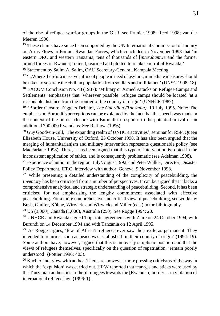of the rise of refugee warrior groups in the GLR, see Prunier 1998; Reed 1998; van der Meeren 1996.

<sup>15</sup> These claims have since been supported by the UN International Commission of Inquiry on Arms Flows to Former Rwandan Forces, which concluded in November 1998 that 'in eastern DRC and western Tanzania, tens of thousands of [*interahamwe* and the former armed forces of Rwanda] trained, rearmed and plotted to retake control of Rwanda.'

<sup>16</sup> Statement by Salim A. Salim, OAU Secretary-General, Kampala Meeting.

 $17 \cdot ...$  Where there is a massive influx of people in need of asylum, immediate measures should be taken to separate the civilian population from soldiers and militiamen' (UNSG 1998: 18). <sup>18</sup> EXCOM Conclusion No. 48 (1987): 'Military or Armed Attacks on Refugee Camps and

Settlements' emphasises that 'wherever possible' refugee camps should be located 'at a reasonable distance from the frontier of the country of origin' (UNHCR 1987).

<sup>19</sup> 'Border Closure Triggers Debate', *The Guardian (Tanzania)*, 19 July 1995. Note: The emphasis on Burundi's perceptions can be explained by the fact that the speech was made in the context of the border closure with Burundi in response to the potential arrival of an additional 700,000 Rwandans. See Rutinwa (1996).

<sup>20</sup> Guy Goodwin-Gill, 'The expanding realm of UNHCR activities', seminar for RSP, Queen Elizabeth House, University of Oxford, 23 October 1998. It has also been argued that the merging of humanitarianism and military intervention represents questionable policy (see MacFarlane 1998). Third, it has been argued that this type of intervention is rooted in the inconsistent application of ethics, and is consequently problematic (see Adelman 1998).

<sup>21</sup> Experience of author in the region, July/August 1992; and Peter Walker, Director, Disaster Policy Department, IFRC, interview with author, Geneva, 9 November 1998.

<sup>22</sup> While presenting a detailed understanding of the complexity of peacebuilding, the *Inventory* has been criticised from a number of perspectives. It can be argued that it lacks a comprehensive analytical and strategic understanding of peacebuilding. Second, it has been criticised for not emphasising the lengthy commitment associated with effective peacebuilding. For a more comprehensive and critical view of peacebuilding, see works by Bush, Ginifer, Kühne, Wirwick, and Wirwick and Miller (eds.) in the bibliography.

<sup>23</sup> US (3,000), Canada (1,000), Australia (250). See Rogge 1994: 20.

<sup>24</sup> UNHCR and Rwanda signed Tripartite agreements with Zaire on 24 October 1994, with Burundi on 14 December 1994 and with Tanzania on 12 April 1995.

<sup>25</sup> As Rogge argues, 'few of Africa's refugees ever saw their exile as permanent. They intended to return as soon as peace was established' in their country of origin' (1994: 19). Some authors have, however, argued that this is an overly simplistic position and that the views of refugees themselves, specifically on the question of repatriation, 'remain poorly understood' (Pottier 1996: 403).

<sup>26</sup> Kuchio, interview with author. There are, however, more pressing criticisms of the way in which the 'expulsion' was carried out. HRW reported that tear-gas and sticks were used by the Tanzanian authorities to 'herd refugees towards the [Rwandan] border ... in violation of international refugee law' (1996: 1).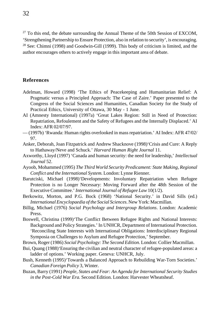$^{27}$  To this end, the debate surrounding the Annual Theme of the 50th Session of EXCOM, 'Strengthening Partnership to Ensure Protection, also in relation to security', is encouraging.  $28$  See: Chimni (1998) and Goodwin-Gill (1999). This body of criticism is limited, and the author encourages others to actively engage in this important area of debate.

# **References**

- Adelman, Howard (1998) 'The Ethics of Peacekeeping and Humanitarian Relief: A Pragmatic versus a Principled Approach: The Case of Zaire.' Paper presented to the Congress of the Social Sciences and Humanities, Canadian Society for the Study of Practical Ethics, University of Ottawa, 30 May - 1 June.
- AI (Amnesty International) (1997a) 'Great Lakes Region: Still in Need of Protection: Repatriation, Refoulement and the Safety of Refugees and the Internally Displaced.' AI Index: AFR 02/07/97.
- (1997b) 'Rwanda: Human rights overlooked in mass repatriation.' AI Index: AFR 47/02/ 97.
- Anker, Deborah, Joan Fitzpatrick and Andrew Shacknove (1998)'Crisis and Cure: A Reply to Hathaway/Neve and Schuck.' *Harvard Human Right Journal* 11.
- Axworthy, Lloyd (1997) 'Canada and human security: the need for leadership,' *Intellectual Journal* 52.
- Ayoob, Mohammed (1995) *The Third World Security Predicament: State Making, Regional Conflict and the International System.* London: Lynne Rienner.
- Barutciski, Michael (1998)'Developments: Involuntary Repatriation when Refugee Protection is no Longer Necessary: Moving Forward after the 48th Session of the Executive Committee.' *International Journal of Refugee Law* 10(1/2).
- Berkowitz, Morton, and P.G. Bock (1968) 'National Security.' in David Sills (ed.) *International Encyclopaedia of the Social Sciences*. New York: Macmillan.
- Billig, Michael (1976) *Social Psychology and Intergroup Relations*. London: Academic Press.
- Boswell, Christina (1999)'The Conflict Between Refugee Rights and National Interests: Background and Policy Strategies.' In UNHCR, Department of International Protection. 'Reconciling State Interests with International Obligations: Interdisciplinary Regional Symposia on Challenges to Asylum and Refugee Protection,' September.
- Brown, Roger (1986) *Social Psychology: The Second Edition.* London: Collier Macmillan.
- Bui, Quang (1988)'Ensuring the civilian and neutral character of refugee-populated areas: a ladder of options.' Working paper. Geneva: UNHCR, July.
- Bush, Kenneth (1995)'Towards a Balanced Approach to Rebuilding War-Torn Societies.' *Canadian Foreign Policy* 3, Winter.
- Buzan, Barry (1991) *People, States and Fear: An Agenda for International Security Studies in the Post-Cold War Era.* Second Edition. London: Harvester Wheatsheaf.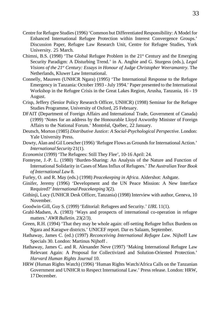- Centre for Refugee Studies (1996) 'Common but Differentiated Responsibility: A Model for Enhanced International Refugee Protection within Interest Convergence Groups.' Discussion Paper, Refugee Law Research Unit, Centre for Refugee Studies, York University. 25 March.
- Chimni, B.S. (1998) 'The Global Refugee Problem in the  $21<sup>st</sup>$  Century and the Emerging Security Paradigm: A Disturbing Trend.' in A. Anghie and G. Sturgess (eds.), *Legal Visions of the 21st Century: Essays in Honour of Judge Christopher Weeramantry.* The Netherlands, Kluwer Law International.
- Connelly, Maureen (UNHCR Ngara) (1995) 'The International Response to the Refugee Emergency in Tanzania: October 1993 - July 1994.' Paper presented to the International Workshop in the Refugee Crisis in the Great Lakes Region, Arusha, Tanzania, 16 - 19 August.
- Crisp, Jeffery (Senior Policy Research Officer, UNHCR) (1998) Seminar for the Refugee Studies Programme, University of Oxford, 25 February.
- DFAIT (Department of Foreign Affairs and International Trade, Government of Canada) (1999) 'Notes for an address by the Honourable Lloyd Axworthy Minister of Foreign Affairs to the National Forum.' Montréal, Québec, 22 January.
- Deutsch, Morton (1985) *Distributive Justice: A Social-Psychological Perspective.* London: Yale University Press.
- Dowty, Alan and Gil Loescher (1996) 'Refugee Flows as Grounds for International Action.' *International Security* 21(1).
- *Economist* (1999) 'The Refugees: Still They Flee', 10-16 April: 24.
- Fonteyne, J.-P. L. (1980) 'Burden-Sharing: An Analysis of the Nature and Function of International Solidarity in Cases of Mass Influx of Refugees.' *The Australian Year Book of International Law* 8.
- Furley, O. and R. May (eds.) (1998) *Peacekeeping in Africa.* Aldershot: Ashgate.
- Ginifer, Jeremy (1996) 'Development and the UN Peace Mission: A New Interface Required?' *International Peacekeeping* 3(2).
- Githinji, Lucy (UNHCR Desk Officer, Tanzania) (1998) Interview with author, Geneva, 10 November.
- Goodwin-Gill, Guy S. (1999) 'Editorial: Refugees and Security.' *IJRL* 11(1).
- Grahl-Madsen, A. (1983) 'Ways and prospects of international co-operation in refugee matters.' *AWR Bulletin.* 23(2/3).
- Green, R.H. (1994) 'That they may be whole again: off-setting Refugee Influx Burdens on Ngara and Karagwe districts.' UNICEF report. Dar es Salaam, September.
- Hathaway, James C. (ed.) (1997) *Reconceiving International Refugee Law.* Nijhoff Law Specials 30. London: Martinus Nijhoff .
- Hathaway, James C. and R. Alexander Neve (1997) 'Making International Refugee Law Relevant Again: A Proposal for Collectivized and Solution-Oriented Protection.' *Harvard Human Rights Journal* 10.
- HRW (Human Rights Watch) (1996) 'Human Rights Watch/Africa Calls on the Tanzanian Government and UNHCR to Respect International Law.' Press release. London: HRW, 17 December.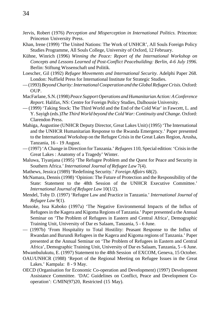- Jervis, Robert (1976) *Perception and Misperception in International Politics.* Princeton: Princeton University Press.
- Khan, Irene (1999) 'The United Nations: The Work of UNHCR', All Souls Foreign Policy Studies Programme, All Souls College, University of Oxford, 12 February.
- Kühne, Winrich (1996) *Winning the Peace: Report of the International Workshop on Concepts and Lessons Learned of Post-Conflict Peacebuilding: Berlin, 4-6 July 1996.* Berlin: Stiftung Wissenschaft und Politik.
- Loescher, Gil (1992) *Refugee Movements and International Security.* Adelphi Paper 268. London: Nuffield Press for International Institute for Strategic Studies.
- (1993) *Beyond Charity: International Cooperation and the Global Refugee Crisis*. Oxford: OUP.
- MacFarlane, S.N. (1998) *Peace Support Operations and Humanitarian Action: A Conference Report.* Halifax, NS: Centre for Foreign Policy Studies, Dalhousie University.
- (1999) 'Taking Stock: The Third World and the End of the Cold War' in Fawcett, L. and Y. Sayigh (eds.)*The Third World beyond the Cold War: Continuity and Change.* Oxford: Clarendon Press.
- Mahiga, Augustine (UNHCR Deputy Director, Great Lakes Unit) (1995) 'The International and the UNHCR Humanitarian Response to the Rwanda Emergency.' Paper presented to the International Workshop on the Refugee Crisis in the Great Lakes Region, Arusha, Tanzania, 16 - 19 August.
- (1997) 'A Change in Direction for Tanzania.' *Refugees* 110, Special edition: 'Crisis in the Great Lakes : Anatomy of a Tragedy' Winter.
- Maluwa, Tiyanjana (1995) 'The Refugee Problem and the Quest for Peace and Security in Southern Africa.' *International Journal of Refugee Law* 7(4).
- Mathews, Jessica (1989) 'Redefining Security.' *Foreign Affairs* 68(2).
- McNamara, Dennis (1998) 'Opinion: The Future of Protection and the Responsibility of the State: Statement to the 48th Session of the UNHCR Executive Committee.' *International Journal of Refugee Law* 10(1/2).
- Mendel, Toby D. (1997) 'Refugee Law and Practice in Tanzania.' *International Journal of Refugee Law* 9(1).
- Musoke, Issa Kaboko (1997a) 'The Negative Environmental Impacts of the Influx of Refugees in the Kagera and Kigoma Regions of Tanzania.' Paper presented a the Annual Seminar on 'The Problem of Refugees in Eastern and Central Africa', Demographic Training Unit, University of Dar es Salaam, Tanzania, 5 - 6 June.
- (1997b) 'From Hospitality to Total Hostility: Peasant Response to the Influx of Rwandan and Burundi Refugees in the Kagera and Kigoma regions of Tanzania.' Paper presented at the Annual Seminar on 'The Problem of Refugees in Eastern and Central Africa', Demographic Training Unit, University of Dar es Salaam, Tanzania, 5 - 6 June.

Mwambulukutu, E. (1997) Statement to the 48th Session of EXCOM, Geneva, 15 October.

- OAU/UNHCR (1988) 'Report of the Regional Meeting on Refugee Issues in the Great Lakes.' Kampala: 8 - 9 May.
- OECD (Organisation for Economic Co-operation and Development) (1997) Development Assistance Committee. 'DAC Guidelines on Conflict, Peace and Development Cooperation': C/MIN(97)20, Restricted (15 May).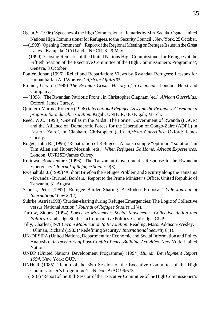- Ogata, S. (1996) 'Speeches of the High Commissioner: Remarks by Mrs. Sadako Ogata, United Nations High Commissioner for Refugees, to the Security Council', New York, 25 October.
- (1998) 'Opening Comments', 'Report of the Regional Meeting on Refugee Issues in the Great Lakes.' Kampala: OAU and UNHCR, 8 - 9 May.
- (1999) 'Closing Remarks of the United Nations High Commissioner for Refugees at the Fiftieth Session of the Executive Committee of the High Commissioner's Programme', Geneva, 8 October.
- Pottier, Johan (1996) 'Relief and Repatriation: Views by Rwandan Refugees; Lessons for Humanitarian Aid Workers.' *African Affairs* 95.
- Prunier, Gérard (1995) *The Rwanda Crisis: History of a Genocide.* London: Hurst and Company.
- (1998) 'The Rwandan Patriotic Front', in Christopher Clapham (ed.), *African Guerrillas.* Oxford, James Currey.
- Quintero-Marino, Roberto (1996) *International Refugee Law and the Rwandese Caseload: a proposal for a durable solution.* Kigali: UNHCR, BO Kigali, March.
- Reed, W.C. (1998) 'Guerrillas in the Midst: The Former Government of Rwanda (FGOR) and the Alliance of Democratic Forces for the Liberation of Congo-Zaire (ADFL) in Eastern Zaire', in Clapham, Christopher (ed.). *African Guerrillas*. Oxford: James Currey.
- Rogge, John R. (1996) 'Repatriation of Refugees: A not so simple "optimum" solution.' in Tim Allen and Hubert Morsink (eds.). *When Refugees Go Home: African Experiences.* London: UNRISD/James Currey.
- Rutinwa, Bonaventure (1996) 'The Tanzanian Government's Response to the Rwandan Emergency.' *Journal of Refugee Studies* 9(3).
- Rwehabula, J. (1995) 'A Short Brief on the Refugee Problem and Security along the Tanzania - Rwanda - Burundi Borders.' Report to the Prime Minister's Office, United Republic of Tanzania. 31 August.
- Schuck, Peter (1997) 'Refugee Burden-Sharing: A Modest Proposal.' *Yale Journal of International Law* 22(2).
- Suhrke, Astri (1998) 'Burden-sharing during Refugee Emergencies: The Logic of Collective versus National Action.' *Journal of Refugee Studies* 11(4).
- Tarrow, Sidney (1994) *Power in Movement: Social Movements, Collective Action and Politics.* Cambridge Studies in Comparative Politics. Cambridge: CUP.
- Tilly, Charles (1978) *From Mobilization to Revolution*. Reading, Mass: Addison-Wesley. Ullman, Richard (1983) 'Redefining Security.' *International Security* 8(1).
- UN-DESIPA (United Nations, Department for Economic and Social Information and Policy Analysis). *An Inventory of Post-Conflict Peace-Building Activities.* New York: United Nations.
- UNDP (United Nations Development Programme) (1994) *Human Development Report 1994.* New York: OUP.
- UNHCR (1985) 'Report of the 36th Session of the Executive Committee of the High Commissioner's Programme': UN Doc. A/AC.96/673.
- (1987) 'Report of the 38th Session of the Executive Committee of the High Commissioner's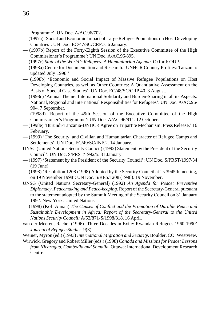Programme': UN Doc. A/AC.96/702.

- (1997a) 'Social and Economic Impact of Large Refugee Populations on Host Developing Countries': UN Doc. EC/47/SC/CRP.7. 6 January.
- (1997b) Report of the Forty-Eighth Session of the Executive Committee of the High Commissioner's Programme': UN Doc. A/AC.96/895.
- (1997c) *State of the World's Refugees: A Humanitarian Agenda.* Oxford: OUP.
- (1998a) Centre for Documentation and Research. 'UNHCR Country Profiles: Tanzania: updated July 1998.'
- (1998b) 'Economic and Social Impact of Massive Refugee Populations on Host Developing Countries, as well as Other Countries: A Quantitative Assessment on the Basis of Special Case Studies': UN Doc. EC/48/SC/CRP.40. 3 August.
- (1998c) 'Annual Theme: International Solidarity and Burden-Sharing in all its Aspects: National, Regional and International Responsibilities for Refugees': UN Doc. A/AC.96/ 904. 7 September.
- (1998d) 'Report of the 49th Session of the Executive Committee of the High Commissioner's Programme': UN Doc. A/AC.96/911. 12 October.
- (1998e) 'Burundi-Tanzania-UNHCR Agree on Tripartite Mechanism: Press Release.' 16 February.
- (1999) 'The Security, and Civilian and Humanitarian Character of Refugee Camps and Settlements': UN Doc. EC/49/SC/INF.2. 14 January.
- UNSC (United Nations Security Council) (1992) Statement by the President of the Security Council': UN Doc. S/PRST/1992/5. 31 January.
- (1997) 'Statement by the President of the Security Council': UN Doc. S/PRST/1997/34 (19 June).
- (1998) 'Resolution 1208 (1998) Adopted by the Security Council at its 3945th meeting, on 19 November 1998': UN Doc. S/RES/1208 (1998). 19 November.
- UNSG (United Nations Secretary-General) (1992) *An Agenda for Peace: Preventive Diplomacy, Peacemaking and Peace-keeping.* Report of the Secretary-General pursuant to the statement adopted by the Summit Meeting of the Security Council on 31 January 1992. New York: United Nations.
- (1998) (Kofi Annan) *The Causes of Conflict and the Promotion of Durable Peace and Sustainable Development in Africa: Report of the Secretary-General to the United Nations Security Council:* A/52/871-S/1998/318. 16 April.
- van der Meeren, Rachel (1996) 'Three Decades in Exile: Rwandan Refugees 1960-1990' *Journal of Refugee Studies* 9(3).

Weiner, Myron (ed.) (1993) *International Migration and Security.* Boulder, CO: Westview. Wirwick, Gregory and Robert Miller (eds.) (1998) *Canada and Missions for Peace: Lessons*

*from Nicaragua, Cambodia and Somalia.* Ottawa: International Development Research Centre.